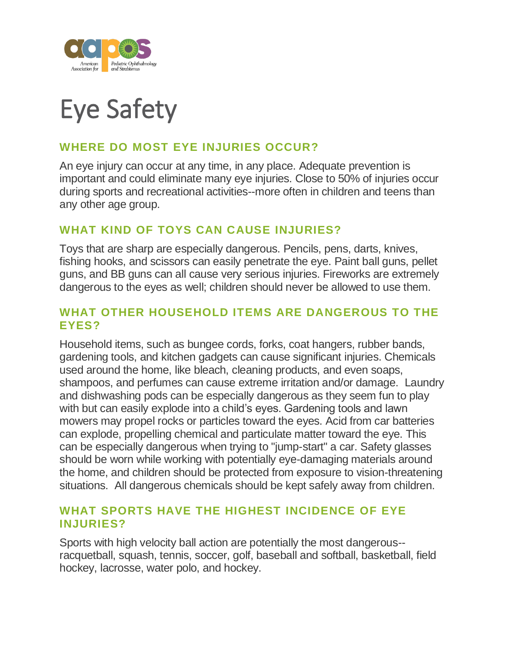

# Eye Safety

## **WHERE DO MOST EYE INJURIES OCCUR?**

An eye injury can occur at any time, in any place. Adequate prevention is important and could eliminate many eye injuries. Close to 50% of injuries occur during sports and recreational activities--more often in children and teens than any other age group.

#### **WHAT KIND OF TOYS CAN CAUSE INJURIES?**

Toys that are sharp are especially dangerous. Pencils, pens, darts, knives, fishing hooks, and scissors can easily penetrate the eye. Paint ball guns, pellet guns, and BB guns can all cause very serious injuries. Fireworks are extremely dangerous to the eyes as well; children should never be allowed to use them.

#### **WHAT OTHER HOUSEHOLD ITEMS ARE DANGEROUS TO THE EYES?**

Household items, such as bungee cords, forks, coat hangers, rubber bands, gardening tools, and kitchen gadgets can cause significant injuries. Chemicals used around the home, like bleach, cleaning products, and even soaps, shampoos, and perfumes can cause extreme irritation and/or damage. Laundry and dishwashing pods can be especially dangerous as they seem fun to play with but can easily explode into a child's eyes. Gardening tools and lawn mowers may propel rocks or particles toward the eyes. Acid from car batteries can explode, propelling chemical and particulate matter toward the eye. This can be especially dangerous when trying to "jump-start" a car. Safety glasses should be worn while working with potentially eye-damaging materials around the home, and children should be protected from exposure to vision-threatening situations. All dangerous chemicals should be kept safely away from children.

#### **WHAT SPORTS HAVE THE HIGHEST INCIDENCE OF EYE INJURIES?**

Sports with high velocity ball action are potentially the most dangerous- racquetball, squash, tennis, soccer, golf, baseball and softball, basketball, field hockey, lacrosse, water polo, and hockey.